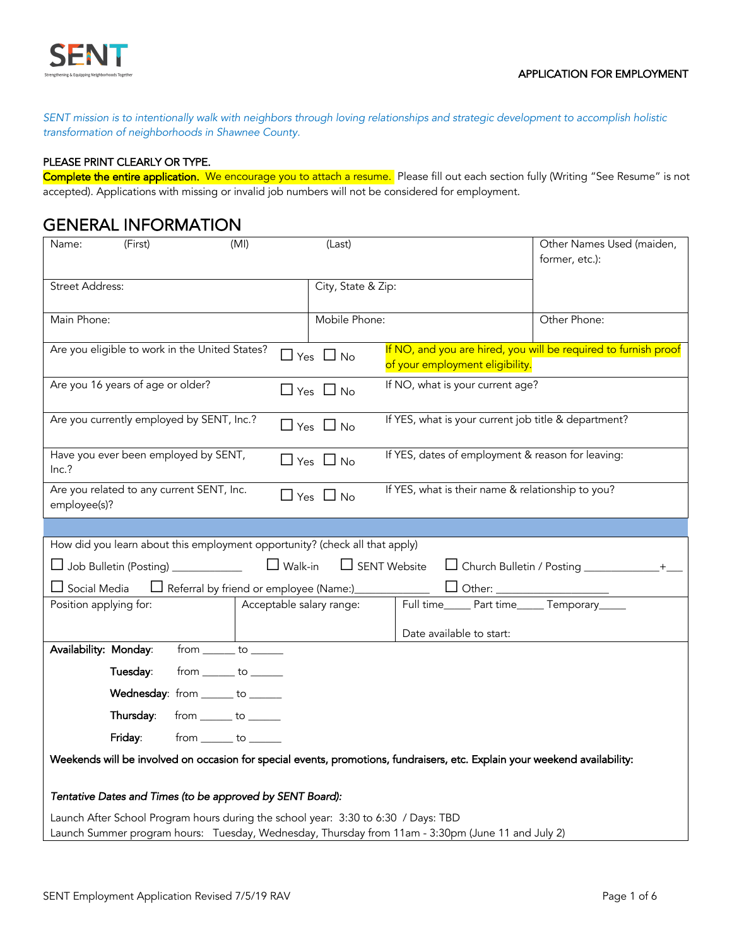

*SENT mission is to intentionally walk with neighbors through loving relationships and strategic development to accomplish holistic transformation of neighborhoods in Shawnee County.*

#### PLEASE PRINT CLEARLY OR TYPE.

Complete the entire application. We encourage you to attach a resume. Please fill out each section fully (Writing "See Resume" is not accepted). Applications with missing or invalid job numbers will not be considered for employment.

#### GENERAL INFORMATION

| (First)<br>(MI)<br>Name:                                                                                                   | (Last)                                                   | Other Names Used (maiden,                                       |
|----------------------------------------------------------------------------------------------------------------------------|----------------------------------------------------------|-----------------------------------------------------------------|
|                                                                                                                            |                                                          | former, etc.):                                                  |
|                                                                                                                            |                                                          |                                                                 |
| <b>Street Address:</b>                                                                                                     | City, State & Zip:                                       |                                                                 |
|                                                                                                                            |                                                          |                                                                 |
| Main Phone:                                                                                                                | Mobile Phone:                                            | Other Phone:                                                    |
| Are you eligible to work in the United States?                                                                             |                                                          | If NO, and you are hired, you will be required to furnish proof |
|                                                                                                                            | $\Box$ Yes $\Box$ No<br>of your employment eligibility.  |                                                                 |
| Are you 16 years of age or older?                                                                                          | If NO, what is your current age?<br>$\Box$ Yes $\Box$ No |                                                                 |
|                                                                                                                            |                                                          |                                                                 |
| Are you currently employed by SENT, Inc.?                                                                                  | $\Box$ Yes $\Box$ No                                     | If YES, what is your current job title & department?            |
|                                                                                                                            |                                                          |                                                                 |
| Have you ever been employed by SENT,                                                                                       | $\Box$ Yes $\Box$ No                                     | If YES, dates of employment & reason for leaving:               |
| Inc.?                                                                                                                      |                                                          |                                                                 |
| Are you related to any current SENT, Inc.                                                                                  |                                                          | If YES, what is their name & relationship to you?               |
| employee(s)?                                                                                                               | $\Box$ Yes $\Box$ No                                     |                                                                 |
|                                                                                                                            |                                                          |                                                                 |
| How did you learn about this employment opportunity? (check all that apply)                                                |                                                          |                                                                 |
| Job Bulletin (Posting) __________                                                                                          | $\Box$ Walk-in<br>$\Box$ SENT Website                    | □ Church Bulletin / Posting _______________+___                 |
|                                                                                                                            |                                                          |                                                                 |
| $\Box$ Social Media<br>$\Box$ Referral by friend or employee (Name:) $\Box$                                                | $\square$ Other: j                                       |                                                                 |
| Position applying for:                                                                                                     | Acceptable salary range:<br>Full time                    | Part time______ Temporary_____                                  |
|                                                                                                                            | Date available to start:                                 |                                                                 |
| Availability: Monday:<br>$from \_\_to \_\_to \_\_$                                                                         |                                                          |                                                                 |
|                                                                                                                            |                                                          |                                                                 |
| $from \_\_to \_\_to \_\_$<br>Tuesday:                                                                                      |                                                          |                                                                 |
| Wednesday: from ______ to ______                                                                                           |                                                          |                                                                 |
| $from \_\_\_to \_\_\_$<br>Thursday:                                                                                        |                                                          |                                                                 |
| Friday:<br>$from \_\_ to \_\_$                                                                                             |                                                          |                                                                 |
| Weekends will be involved on occasion for special events, promotions, fundraisers, etc. Explain your weekend availability: |                                                          |                                                                 |
| Tentative Dates and Times (to be approved by SENT Board):                                                                  |                                                          |                                                                 |
|                                                                                                                            |                                                          |                                                                 |
| Launch After School Program hours during the school year: 3:30 to 6:30 / Days: TBD                                         |                                                          |                                                                 |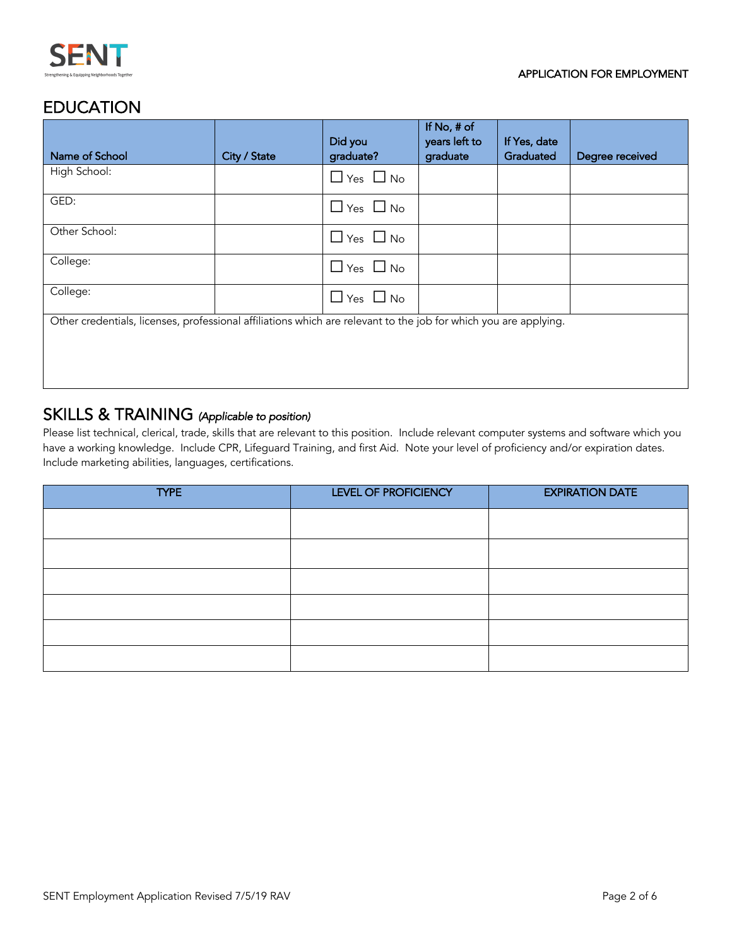

### EDUCATION

|                                                                                                                  |              | Did you              | If No, # of<br>years left to | If Yes, date |                 |
|------------------------------------------------------------------------------------------------------------------|--------------|----------------------|------------------------------|--------------|-----------------|
| Name of School                                                                                                   | City / State | graduate?            | graduate                     | Graduated    | Degree received |
| High School:                                                                                                     |              | $\Box$ Yes $\Box$ No |                              |              |                 |
| GED:                                                                                                             |              | $\Box$ Yes $\Box$ No |                              |              |                 |
| Other School:                                                                                                    |              | $\Box$ Yes $\Box$ No |                              |              |                 |
| College:                                                                                                         |              | $\Box$ Yes $\Box$ No |                              |              |                 |
| College:                                                                                                         |              | $\Box$ Yes $\Box$ No |                              |              |                 |
| Other credentials, licenses, professional affiliations which are relevant to the job for which you are applying. |              |                      |                              |              |                 |
|                                                                                                                  |              |                      |                              |              |                 |

# SKILLS & TRAINING *(Applicable to position)*

Please list technical, clerical, trade, skills that are relevant to this position. Include relevant computer systems and software which you have a working knowledge. Include CPR, Lifeguard Training, and first Aid. Note your level of proficiency and/or expiration dates. Include marketing abilities, languages, certifications.

| <b>TYPE</b> | LEVEL OF PROFICIENCY | <b>EXPIRATION DATE</b> |
|-------------|----------------------|------------------------|
|             |                      |                        |
|             |                      |                        |
|             |                      |                        |
|             |                      |                        |
|             |                      |                        |
|             |                      |                        |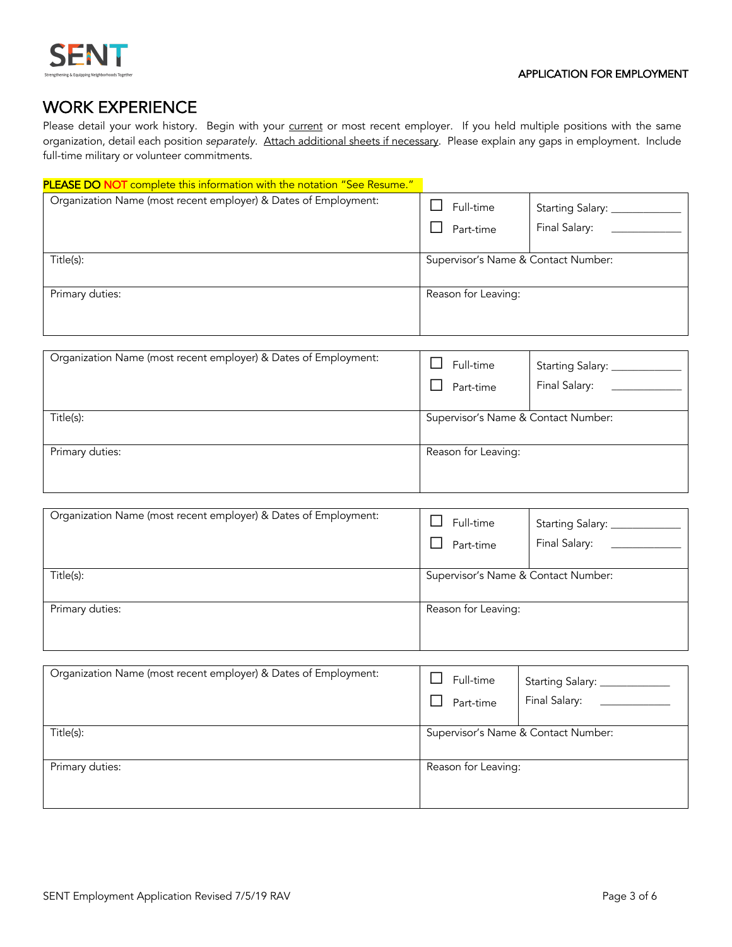

## WORK EXPERIENCE

Please detail your work history. Begin with your current or most recent employer. If you held multiple positions with the same organization, detail each position *separately*. Attach additional sheets if necessary. Please explain any gaps in employment. Include full-time military or volunteer commitments.

| PLEASE DO NOT complete this information with the notation "See Resume." |                                     |                                         |
|-------------------------------------------------------------------------|-------------------------------------|-----------------------------------------|
| Organization Name (most recent employer) & Dates of Employment:         | Full-time<br>Part-time              | Starting Salary: _____<br>Final Salary: |
| Title(s):                                                               | Supervisor's Name & Contact Number: |                                         |
| Primary duties:                                                         | Reason for Leaving:                 |                                         |

| Organization Name (most recent employer) & Dates of Employment: | Full-time<br>Part-time              | Starting Salary: __<br>Final Salary: |
|-----------------------------------------------------------------|-------------------------------------|--------------------------------------|
| Title(s):                                                       | Supervisor's Name & Contact Number: |                                      |
| Primary duties:                                                 | Reason for Leaving:                 |                                      |

| Organization Name (most recent employer) & Dates of Employment: | Full-time<br>Part-time              | Starting Salary: _<br>Final Salary: |
|-----------------------------------------------------------------|-------------------------------------|-------------------------------------|
| Title(s):                                                       | Supervisor's Name & Contact Number: |                                     |
| Primary duties:                                                 | Reason for Leaving:                 |                                     |

| Organization Name (most recent employer) & Dates of Employment: | Full-time<br>Part-time | Starting Salary: ______<br>Final Salary: |
|-----------------------------------------------------------------|------------------------|------------------------------------------|
| Title(s):                                                       |                        | Supervisor's Name & Contact Number:      |
| Primary duties:                                                 | Reason for Leaving:    |                                          |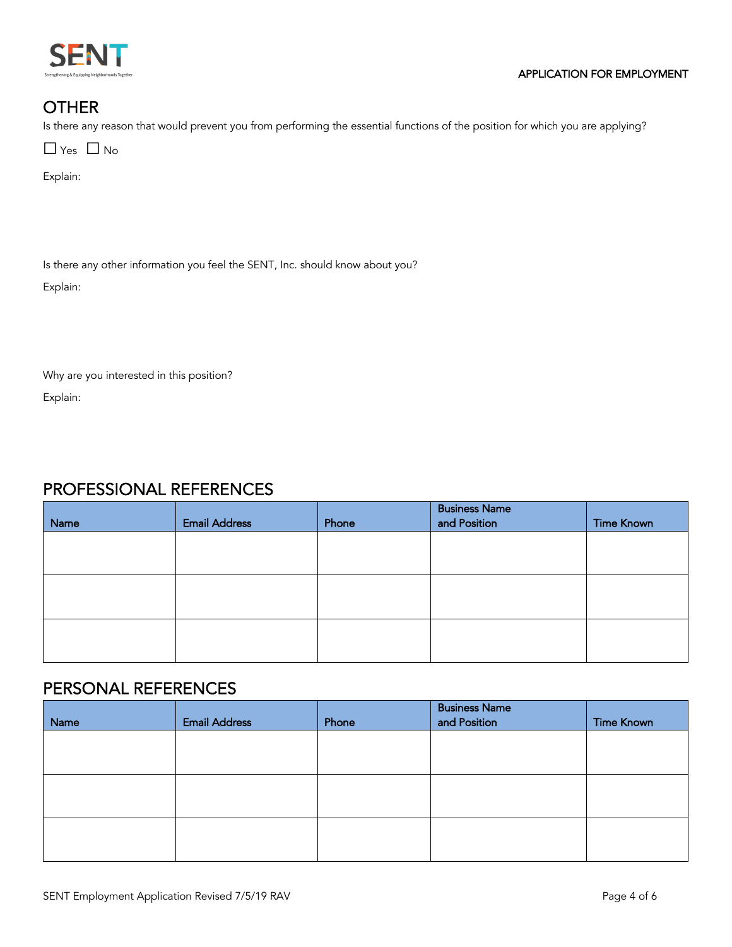

#### **OTHER**

Is there any reason that would prevent you from performing the essential functions of the position for which you are applying?

 $\Box$  Yes  $\Box$  No

Explain:

Is there any other information you feel the SENT, Inc. should know about you?

Explain:

Why are you interested in this position?

Explain:

### PROFESSIONAL REFERENCES

| Name | <b>Email Address</b> | Phone | <b>Business Name</b><br>and Position | <b>Time Known</b> |
|------|----------------------|-------|--------------------------------------|-------------------|
|      |                      |       |                                      |                   |
|      |                      |       |                                      |                   |
|      |                      |       |                                      |                   |
|      |                      |       |                                      |                   |
|      |                      |       |                                      |                   |
|      |                      |       |                                      |                   |

### PERSONAL REFERENCES

| Name | <b>Email Address</b> | Phone | <b>Business Name</b><br>and Position | <b>Time Known</b> |
|------|----------------------|-------|--------------------------------------|-------------------|
|      |                      |       |                                      |                   |
|      |                      |       |                                      |                   |
|      |                      |       |                                      |                   |
|      |                      |       |                                      |                   |
|      |                      |       |                                      |                   |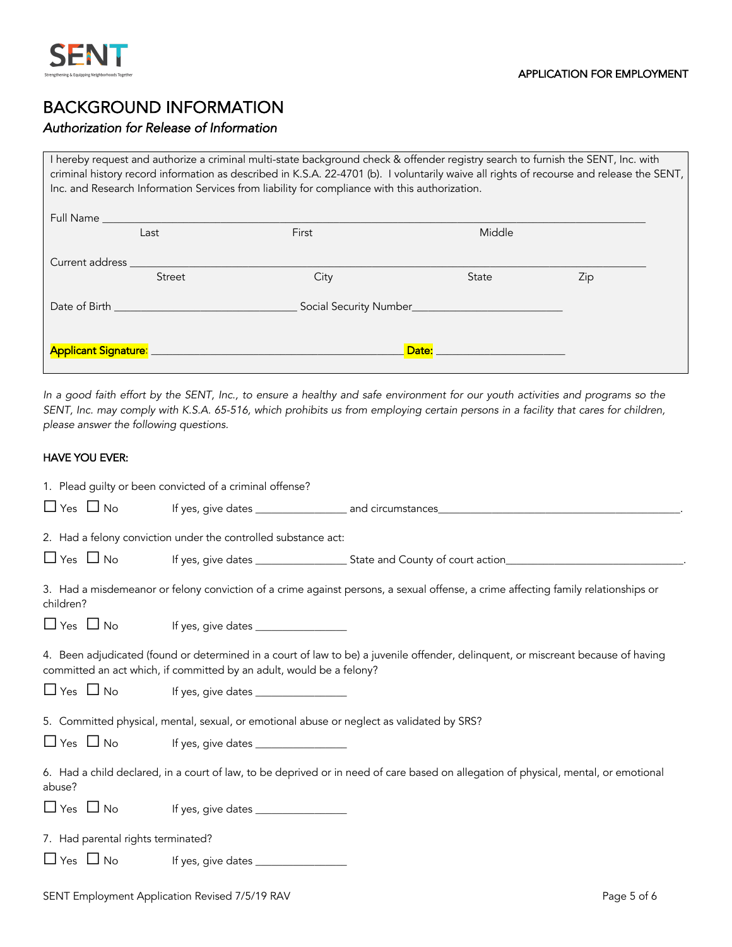

#### BACKGROUND INFORMATION

#### *Authorization for Release of Information*

I hereby request and authorize a criminal multi-state background check & offender registry search to furnish the SENT, Inc. with criminal history record information as described in K.S.A. 22-4701 (b). I voluntarily waive all rights of recourse and release the SENT, Inc. and Research Information Services from liability for compliance with this authorization.

| Full Name                                                                                                                                                                                                                           | Last   | First | Middle |     |
|-------------------------------------------------------------------------------------------------------------------------------------------------------------------------------------------------------------------------------------|--------|-------|--------|-----|
|                                                                                                                                                                                                                                     |        |       |        |     |
| Current address <b>Current</b> and the set of the set of the set of the set of the set of the set of the set of the set of the set of the set of the set of the set of the set of the set of the set of the set of the set of the s |        |       |        |     |
|                                                                                                                                                                                                                                     | Street | City  | State  | Zip |
|                                                                                                                                                                                                                                     |        |       |        |     |
|                                                                                                                                                                                                                                     |        |       | Date:  |     |

*In a good faith effort by the SENT, Inc., to ensure a healthy and safe environment for our youth activities and programs so the SENT, Inc. may comply with K.S.A. 65-516, which prohibits us from employing certain persons in a facility that cares for children, please answer the following questions.* 

#### HAVE YOU EVER:

|                                    | 1. Plead guilty or been convicted of a criminal offense?                                  |                                                                                                                                     |
|------------------------------------|-------------------------------------------------------------------------------------------|-------------------------------------------------------------------------------------------------------------------------------------|
|                                    |                                                                                           |                                                                                                                                     |
|                                    | 2. Had a felony conviction under the controlled substance act:                            |                                                                                                                                     |
|                                    |                                                                                           |                                                                                                                                     |
| children?                          |                                                                                           | 3. Had a misdemeanor or felony conviction of a crime against persons, a sexual offense, a crime affecting family relationships or   |
|                                    |                                                                                           |                                                                                                                                     |
|                                    | committed an act which, if committed by an adult, would be a felony?                      | 4. Been adjudicated (found or determined in a court of law to be) a juvenile offender, delinquent, or miscreant because of having   |
|                                    | 5. Committed physical, mental, sexual, or emotional abuse or neglect as validated by SRS? |                                                                                                                                     |
| $\Box$ Yes $\Box$ No               |                                                                                           |                                                                                                                                     |
| abuse?                             |                                                                                           | 6. Had a child declared, in a court of law, to be deprived or in need of care based on allegation of physical, mental, or emotional |
| $\Box$ Yes $\Box$ No               |                                                                                           |                                                                                                                                     |
| 7. Had parental rights terminated? |                                                                                           |                                                                                                                                     |
|                                    |                                                                                           |                                                                                                                                     |
|                                    |                                                                                           |                                                                                                                                     |